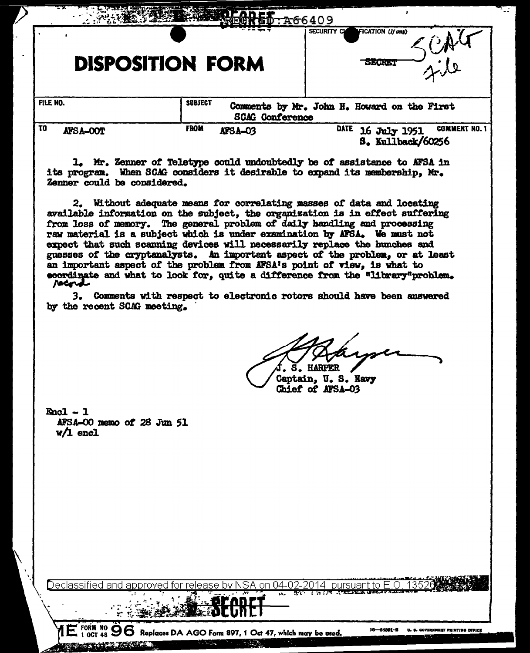|                | <b>DISPOSITION FORM</b> |                        | SECURITY CL<br>FICATION (If ony)<br><b>NE HREY</b>                |
|----------------|-------------------------|------------------------|-------------------------------------------------------------------|
| FILE NO.       | <b>SUBJECT</b>          | <b>SCAG</b> Conference | Comments by Mr. John H. Howard on the First                       |
| τo<br>AFSA-OOT | <b>FROM</b>             | AFSA-03                | DATE<br><b>COMMENT NO. 1</b><br>16 July 1951<br>S. Kullback/60256 |

1. Mr. Zenner of Teletype could undoubtedly be of assistance to AFSA in its program. When SCAG considers it desirable to expand its membership, Mr. Zenner could be considered.

2. Without adequate means for correlating masses of data and locating available information on the subject, the organization is in effect suffering from loss of memory. The general problem of daily handling and processing raw material is a subject which is under examination by AFSA. We must not expect that such scanning devices will necessarily replace the hunches and guesses of the cryptanalysts. An important aspect of the problem, or at least an important aspect of the problem from AFSA's point of view, is what to coordinate and what to look for, quite a difference from the "library"problem. racord

3. Comments with respect to electronic rotors should have been answered by the recent SCAG meeting.

Captain, U.S. Navy Chief of AFSA-03

 $Enc1 - 1$ AFSA-00 memo of 28 Jun 51  $V/I$  encl

 $SA$  on 04-02-2014 pursuant to  $E.O$ Declassified and

 $1\overline{E}$  FORM NO  $96$  Replaces DA AGO Form 897, 1 Oct 47, which may be used. **MEETALE TE** 

π,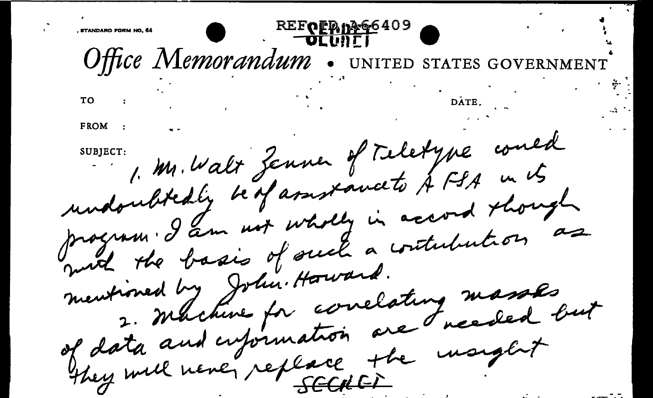KEFOLD DRG6409 Office Memorandum **UNITED STATES** TO FROM 1. Mr. Walt Zenne of Teletyne could undoubtedly bedfammente & FSA in its program. I am not wholly in accord though muit the basis of such a contribution as mentioned by John. Howard. 2. Machine for correlating masses, of data and cupinnation are needed but They will never replace the monglet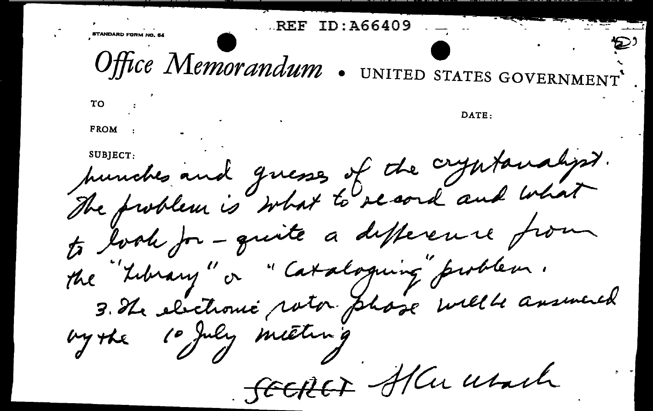Office Memorandum UNITED STATES GOVERNMEN ТΟ **DATE: FROM** hunches and guesses of the cryptanalyst. to look for-quite a difference from the "Library" or " Cataloguing problem. 3. The electronic rator phase will answered bythe SECREF Aller work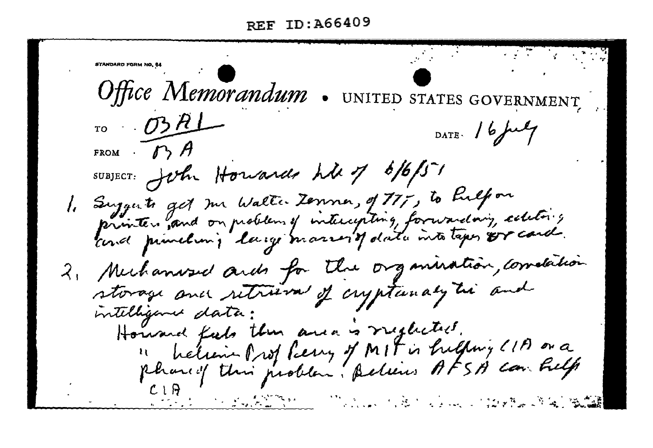Office Memorandum NITED STATES  $\sigma$   $\sigma$   $\sigma$ DATE:  $16$  full FROM SUBJECT: John Housards his of 6/6/51 1. Suggests get me Walter Zenne, of 77, to help on printer , and on problem of intercepting, forwarding, celebrics could privilent, large married data into taper or card. 2. Mechanise and for the organization, correlation storage and retrieval of cryptunaly the and intelligence data: Howard feels then and is reglected. helien Prof Pierry of MIT is hilling (11) or a phared this problem. Believes AFSA can help and the second state of the second state of the second state of the second state of the second state of the se<br>Second state of the second state of the second state of the second state of the second state of the second stat Martin Artist and Constantin Co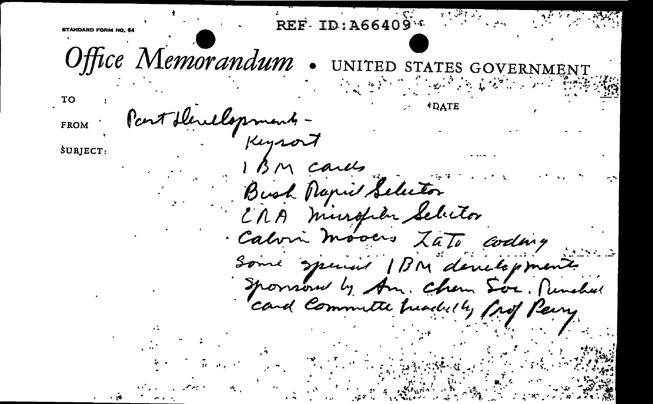Office Memorandum cent blenclopmen FROM Keysort SUBJECTarlts Bush Mapril Selector CRA mingher Selector · Calvin mooers Codny Some special IBM developments Sponsored by Am. Chem Soc. Punched card Committe treached by frof Perry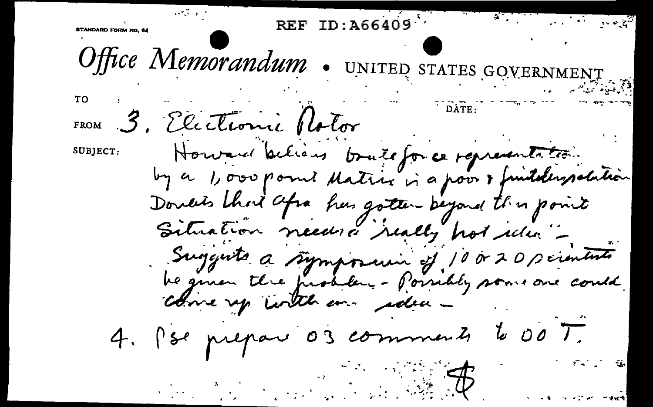**REF** Office Memorandum . UNITED STATES GOVER  $T<sub>O</sub>$ 3. Electionie Rotor FROM Howard believe bouteforce representation. SUBJECT: by a 1,000 point dating in a poor & funtaleypolution Doucis that afra has gotten beyond this point Situation needed really hot idea -Suggests a symposium of 10020 scientists be given the problem - Poirebly some one could come up with an edea - $600\frac{1}{10}$ 4. Pse prepare 03 comments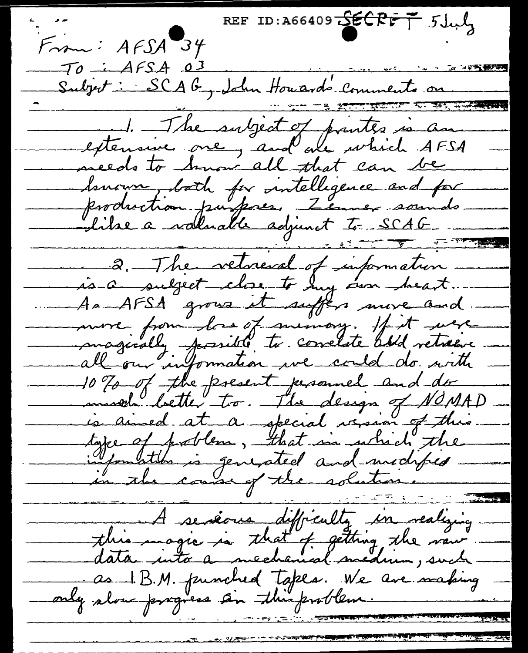REF ID: A66409  $S6CRTF$   $5Jw$  $From: AFSA 34$ TO : AFSA 03<br>Subjet : SCAG, John Houards Comments on 1. The subject of printer is an meeds to hnow all that can be Senoux both for intelligence and for<br>Production purfores, Zenner sounds <del>कूट कर खा</del>ड 2. The vetresd of information. is a subject close to my own heart. As AFSA grous it suffers more and. more from las of minion : If it were<br>magically fassible to correlate add vetween 10 % of the present personnel and do musel better to. The design of NOMAD type of problem, that in which the <u>ta kuna masjid ya Tana ya Tanzania ya Tanzania ya Tanzania ya Tanzania ya Tanzania ya Tanzania ya Tanzania ya </u> A serieure difficulty en realizing this magic is that of getting, the raw data into a mechanical medium, such as 1.B.M. punched tapes. We are making<br>only alou progress sin this problem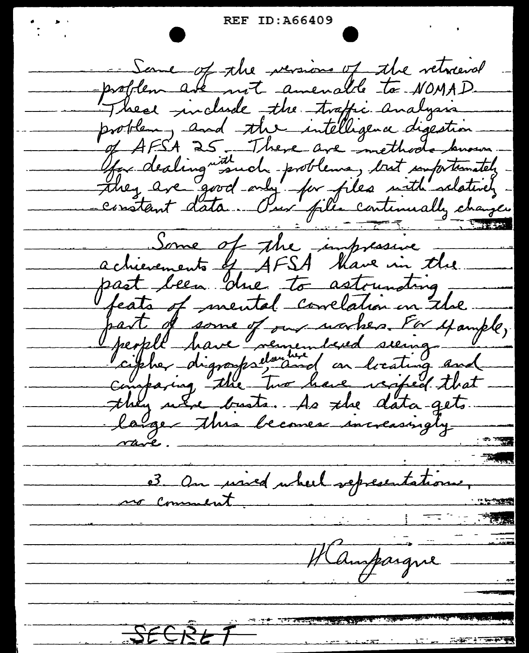- Same of the versions of the veterend problem are not amenable to NOMAD. These include the traffic analysis problem, and the intelligence digestion of AFSA 25 There are methods known.<br>They dealing in such problems, but importantly -<br>they are good only for files with salatively -<br>constant data. Our files centenually change. achievements of AFSA thave in the. past been due to astounding. feats of mental conclation in the part of some of our warker For yample,<br>people have remembered seeing and they use busts. As the data-gets. large this becomes increasingly 3 On used uhert representations, Hampargne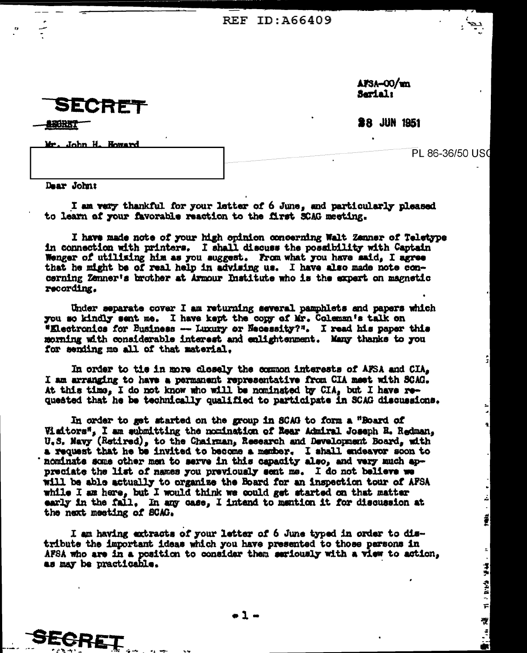SECRET

i komuni

AFSA-00/wn Serial:

**28 JUN 1951** 

Mr. John H. Howard

PL 86-36/50 US0

<u>:</u>

اغ

Î

Ξ,

经股 电电阻计算

졵 

Dear John:

**SEGRET** 

I am very thankful for your letter of 6 June, and particularly pleased to learn of your favorable reaction to the first SCAG meeting.

I have made note of your high opinion concerning Walt Zanner of Teletype in connection with printers. I shall discuss the possibility with Captain Wenger of utilizing him as you suggest. From what you have said, I agree that he might be of real help in advising us. I have also made note concerning Zenner's brother at Armour Institute who is the expert on magnetic recording.

Under separate cover I am returning several pamphlets and papers which you so kindly sent me. I have kept the copy of Mr. Coleman's talk on "Electronics for Business -- Luxury or Necessity?". I read his paper this morning with considerable interest and enlightenment. Many thanks to you for sending me all of that material.

In order to tie in more closely the common interests of AFSA and CIA, I am arranging to have a permanent representative from CIA meet with SCAG. At this time, I do not know who will be nominated by CIA, but I have requested that he be technically qualified to participate in SCAG discussions.

In order to get started on the group in SCAG to form a "Board of Visitors", I am submitting the nomination of Rear Admiral Joseph R. Redman, U.S. Navy (Retired), to the Chairman, Research and Development Board, with a request that he be invited to become a member. I shall endeavor soon to nominate some other men to serve in this capacity also, and very much appreciate the list of names you previously sent me. I do not believe we will be able actually to organize the Board for an inspection tour of AFSA while I am here, but I would think we could get started on that matter early in the fall. In any case. I intend to mention it for discussion at the next meeting of SCAG.

I am having extracts of your letter of 6 June typed in order to distribute the important ideas which you have presented to those persons in AFSA who are in a position to consider then seriously with a view to action, as may be practicable.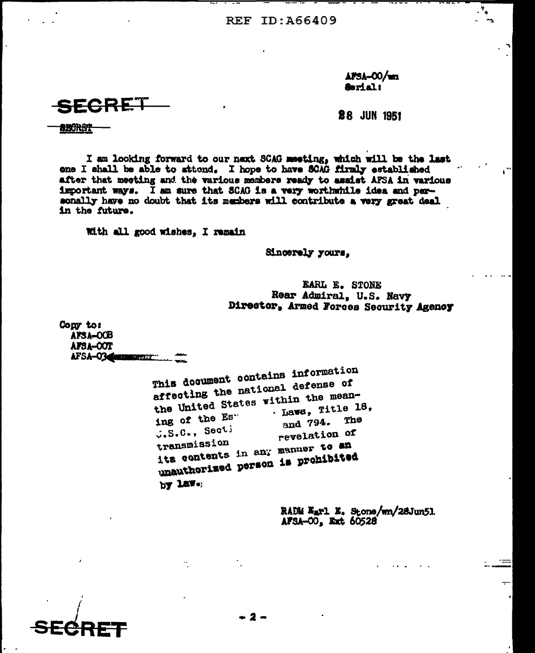APSA-00/wm Serial:

 $\cdot$   $\cdot$ 

SECRET

**28 JUN 1951** 

aborgt

I am looking forward to our next SCAG meeting, which will be the last one I shall be able to attend. I hope to have SCAG firmly established after that meeting and the various members ready to assist AFSA in various important ways. I am sure that SCAG is a very worthwhile idea and personally have no doubt that its members will contribute a very great deal. in the future.

With all good wishes, I remain

Sincerely yours.

EARL E. STONE Rear Admiral, U.S. Navy Director, Armed Forces Security Agency

Copy to: APSA-OCB AFSA-OOT AFSA-03 Communication

This document contains information affecting the national defense of the United States within the mean- $\cdot$  Laws, Title 18, ing of the Es" and 794. The  $J_*S_*C_*$ , Secti revelation of transmission its contents in any manuer to an unauthorized person is prohibited by law.

> RADM Earl E. Stone/wn/28Jun51 AFSA-00, Ext 60528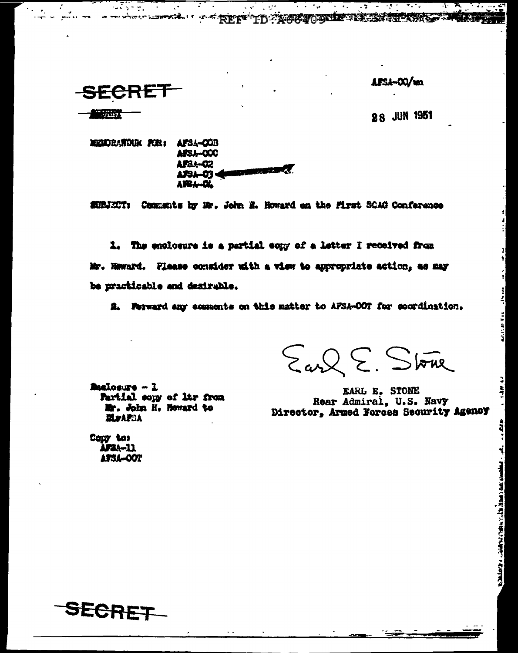### APSA-00/m

<u>কৰ্তবন্দ</u>

にん あまい

îr.

. است – استخدمات Amaz استاند بدار است به واردا با امتحالات از الاختصاص با

 $\mathcal{L} = \frac{1}{2} \sum_{i=1}^n \frac{1}{2} \sum_{i=1}^n \frac{1}{2} \sum_{i=1}^n \frac{1}{2} \sum_{i=1}^n \frac{1}{2} \sum_{i=1}^n \frac{1}{2} \sum_{i=1}^n \frac{1}{2} \sum_{i=1}^n \frac{1}{2} \sum_{i=1}^n \frac{1}{2} \sum_{i=1}^n \frac{1}{2} \sum_{i=1}^n \frac{1}{2} \sum_{i=1}^n \frac{1}{2} \sum_{i=1}^n \frac{1}{2} \sum_{i=1}^n \frac{1}{$ 

SECRET

 $\sim 1.5 \times 10^{-1}$ 

部位方

**28 JUN 1951** 

AF34-00B MEMORANDUM FOR: AFSA-000 AF84-02 **PERSONAL** APSA-03 AISL-QL

n di Salaman<br>Salah Salaman

SUBJECT: Cemmunts by Mr. John N. Howard on the First SCAG Conference

<u> 2008 - Jan Jan Jawa</u>

<u>an din</u>

A THE REFT OF COURT PERMITTED TO A

1. The employare is a partial somy of a letter I received from Mr. Haward. Flease consider with a view to appropriate action, as may be practicable and desirable.

2. Forward any comments on this matter to AFSA-OOT for coordination.

Earl E. Stone

EARL E. STONE Rear Admiral, U.S. Navy Director, Armed Forces Security Agency

**Maclosure - 1** Partial copy of ltr from Mr. John H. Howard to **MraFSA** 

Conv to: AFSA-11 **APSA-OOT** 

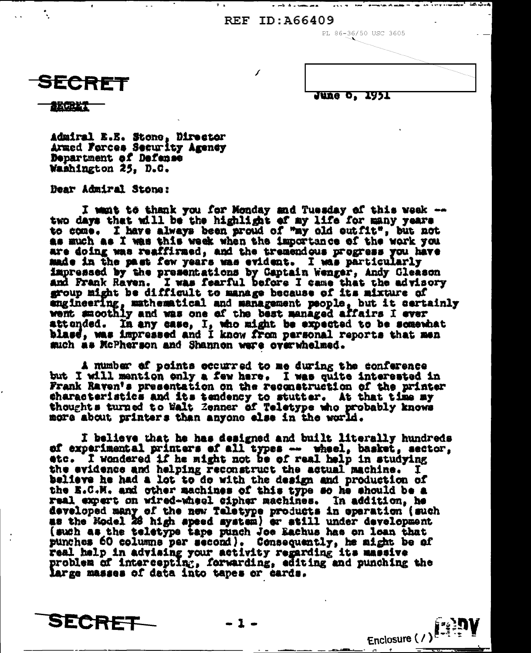$\overline{f}$ 

PL 86-36/50 USC 3605

Enclosure  $( / )$ 



June 0, 1951

法行进代

Admiral E.E. Stone, Director Armed Ferces Security Agency Department of Defense Washington 25, D.C.

Dear Admiral Stone:

I want to thank you for Monday and Tuesday of this week -two days that will be the highlight of my life for many years to come. I have always been proud of "my old outfit", but not as much as I was this week when the importance of the work you are doing was reaffirmed, and the tremendous progress you have made in the past few years was evident. I was particularly impressed by the presentations by Captain Wenger, Andy Gleason and Frank Raven. I was fearful before I came that the advisory group might be difficult to manage because of its mixture of angineering, mathematical and management people, but it certainly went amoothly and was one of the best managed affairs I ever attended. In any case, I, who might be expected to be somewhat blase, was impressed and I know from personal reports that men such as McPherson and Shannon were overwhelmed.

A number of points occurred to me during the conference but I will mention only a few here. I was quite interested in Frank Raven's presentation on the reconstruction of the printer characteristics and its tendency to stutter. At that time my thoughts turned to Walt Zenner of Teletype who probably knows more about printers than anyone else in the world.

I believe that he has designed and built literally hundreds of experimental printers of all types -- wheel, basket, sector, etc. I wondered if he might not be of real help in studying the evidence and helping reconstruct the actual machine. I believe he had a lot to do with the design and production of the E.C.M. and other machines of this type so he should be a real expert on wired-wheel cipher machines. In addition, he developed many of the new Teletype products in eperation (such as the Model 28 high speed system) or still under development (such as the teletype tape punch Joe Eachus has on loan that punches 60 columns per second). Consequently, he might be of real help in advising your activity regarding its massive problem of intercepting, forwarding, editing and punching the large masses of data into tapes or cards.

SECRET

 $-1-$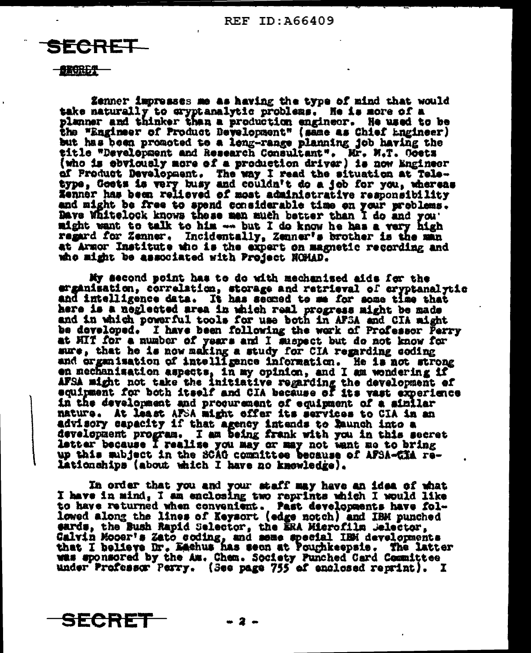# FCRET.

#### **BRORES**

Zenner impresses me as having the type of mind that would take naturally to cryptanalytic problems. He is more of a planner and thinker than a production engineer. He used to be the "Engineer of Product Development" (same as Chief Engineer) but has been promoted to a long-range planning job having the title "Development and Research Consultant". Mr. M.T. Goetz (who is obviously more of a production driver) is now Engineer of Product Development. The way I read the situation at Tele-<br>type, Goets is very busy and couldn't do a job for you, whereas Zenner has been relieved of most administrative responsibility and might be free to spend considerable time on your problems. Dave Whitelock knows these men much better than I do and you' might want to talk to him --- but I do know he has a very high regard for Zenner. Incidentally, Zenner's brother is the man at Armor Institute who is the expert on magnetic recording and who might be associated with Project NOHAD.

My aecond point has to do with mechanised aids for the erganisation, correlation, storage and retrieval of eryptanalytic and intelligence data. It has seemed to me for some time that here is a neglected area in which real progress might be made and in which powerful tools for use both in AFSA and CIA might be developed. I have been following the work of Professor Perry at HIT for a number of years and I suspect but do not know for sure, that he is now making a study for CIA regarding coding and organisation of intelligence information. He is not strong en mechanisation aspects, in my opinion, and I am wondering if AFSA might not take the initiative regarding the development of equipment for both itself and CIA because of its vast experience in the development and procurement of equipment of a similar mature. At least AFSA might offer its services to CIA in an advisory capacity if that agency intends to Raunch into a development program. I am being frank with you in this secret letter because I realise you may or may not want me to bring up this subject in the SCAG committee because of AFSA-CHA relationships (about which I have no knowledge).

In order that you and your staff may have an idea of what I have in mind, I am enclosing two reprints which I would like to have returned when convenient. Past developments have followed along the lines of Keysort (edge notch) and IBM punched eards, the Bush Rapid Selector, the ERA Microfilm Jelector, Calvin Mooer's Zato\_coding, and seme special IBM developments that I believe Dr. Eachus has seen at Poughkeepsie. The latter was sponsored by the Am. Chem. Society Punched Card Committee under Professor Perry. (See page 755 of enclosed reprint). I



- 2 -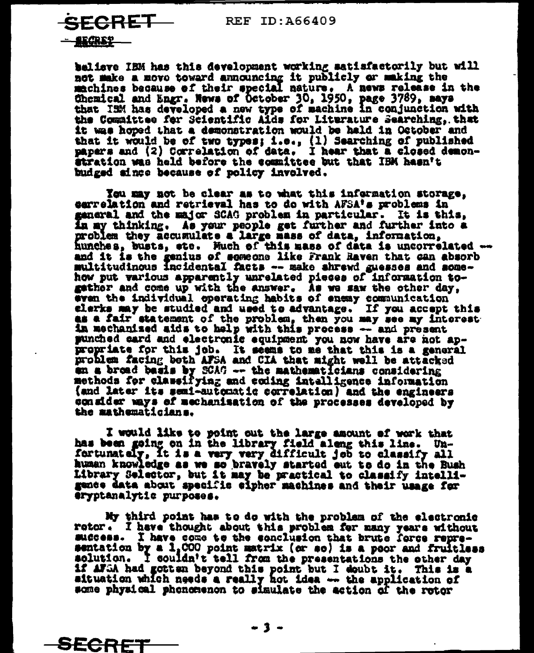SECRET—

rkanp -

SECRE

believe IBM has this development working satisfactorily but will not make a move toward announcing it publicly or making the machines because of their special nature. A news release in the Chemical and Engr. News of October 30, 1950, page 3789, says that ISM has developed a new type of machine in conjunction with the Committee for Scientific Aids for Literature Searching, that it was hoped that a demonstration would be hald in October and that it would be of two types; i.e., (1) Searching of published papers and (2) Correlation of data. I hear that a closed demonstration was held before the counittee but that IBM hasn't budged since because of policy involved.

You may not be clear as to what this information storage. carrelation and retrieval has to do with AFSA's problems in ganeral and the major SCAG problem in particular. It is this. in my thinking. As your people get further and further into a problem they accumulate a large mass of data, information, hunches, busts, etc. Much of this mass of data is uncorrelated -and it is the genius of someone like Frank Raven that can absorb multitudinous incidental facts -- make shrewd guesses and somehow put various apparently unrelated pieces of information togather and come up with the answer. As we saw the other day, even the individual operating habits of enemy communication elerks may be studied and used to advantage. If you accept this as a fair statement of the problem, then you may see my interest in mechanized aids to help with this process -- and present punched card and electronic equipment you now have are not appropriate for this job. It seems to me that this is a general problem facing both AFSA and CIA that might well be attacked an a broad basis by SCAC -- the mathematicians considering methods for classifying and coding intalligence information (and later its semi-automatic correlation) and the engineers consider ways of mechanisation of the processes developed by the mathematicians.

I would like to point out the large amount of work that has been going on in the library field along this line. Un-<br>fortunately, it is a very very difficult job to classify all human knowledge as we so bravely started out to do in the Bush Library Selector, but it may be practical to classify intelligance data about specific eipher machines and their usage for eryptanalytic purposes.

My third point has to do with the problem of the electronic rotor. I have thought about this problem for many years without success. I have come to the sonclusion that brute force representation by a 1,000 point matrix (or so) is a peor and fruitless solution. I couldn't tell from the presentations the other day if AFSA had gotten beyond this point but I doubt it. This is a aituation which needs a really not idea -- the application of some physical phonomenon to simulate the action of the rotor